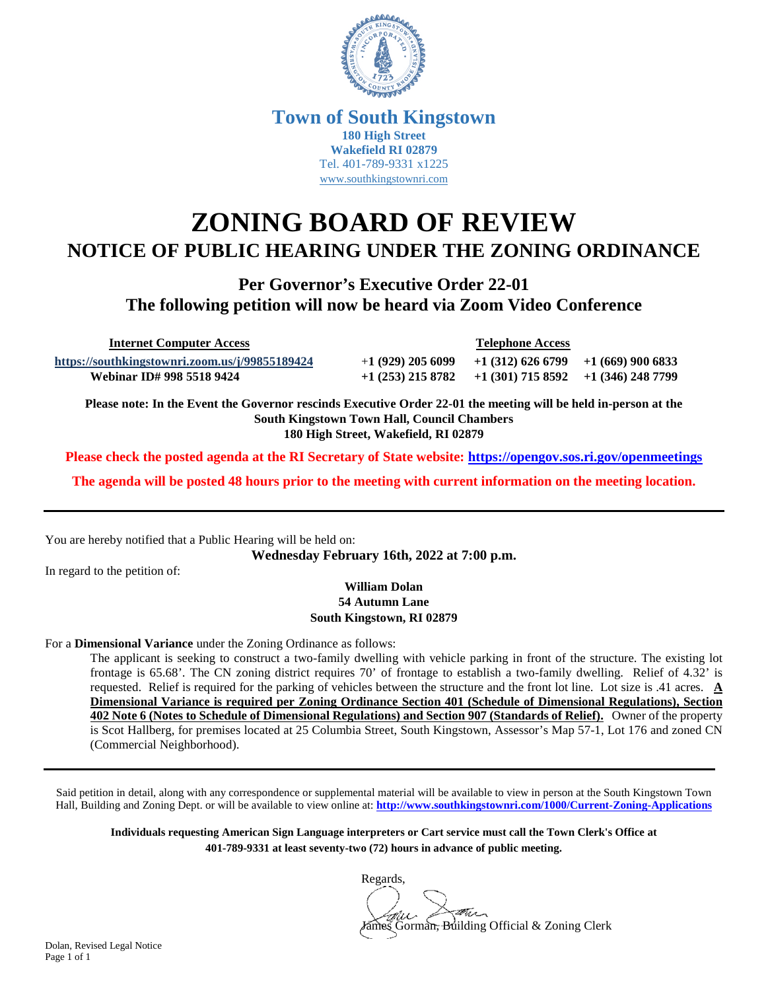

## **Town of South Kingstown 180 High Street Wakefield RI 02879** Tel. 401-789-9331 x1225 [www.southkingstownri.com](http://www.southkingstownri.com/)

## **ZONING BOARD OF REVIEW NOTICE OF PUBLIC HEARING UNDER THE ZONING ORDINANCE**

**Per Governor's Executive Order 22-01 The following petition will now be heard via Zoom Video Conference** 

 **Internet Computer Access Telephone Access <https://southkingstownri.zoom.us/j/99855189424>** +**1 (929) 205 6099 +1 (312) 626 6799 +1 (669) 900 6833 Webinar ID# 998 5518 9424 +1 (253) 215 8782 +1 (301) 715 8592 +1 (346) 248 7799** 

**Please note: In the Event the Governor rescinds Executive Order 22-01 the meeting will be held in-person at the South Kingstown Town Hall, Council Chambers 180 High Street, Wakefield, RI 02879** 

**Please check the posted agenda at the RI Secretary of State website:<https://opengov.sos.ri.gov/openmeetings>**

**The agenda will be posted 48 hours prior to the meeting with current information on the meeting location.** 

You are hereby notified that a Public Hearing will be held on:

**Wednesday February 16th, 2022 at 7:00 p.m.**

In regard to the petition of:

**William Dolan 54 Autumn Lane South Kingstown, RI 02879** 

For a **Dimensional Variance** under the Zoning Ordinance as follows:

The applicant is seeking to construct a two-family dwelling with vehicle parking in front of the structure. The existing lot frontage is 65.68'. The CN zoning district requires 70' of frontage to establish a two-family dwelling. Relief of 4.32' is requested. Relief is required for the parking of vehicles between the structure and the front lot line. Lot size is .41 acres. **A Dimensional Variance is required per Zoning Ordinance Section 401 (Schedule of Dimensional Regulations), Section 402 Note 6 (Notes to Schedule of Dimensional Regulations) and Section 907 (Standards of Relief).** Owner of the property is Scot Hallberg, for premises located at 25 Columbia Street, South Kingstown, Assessor's Map 57-1, Lot 176 and zoned CN (Commercial Neighborhood).

Said petition in detail, along with any correspondence or supplemental material will be available to view in person at the South Kingstown Town Hall, Building and Zoning Dept. or will be available to view online at: **<http://www.southkingstownri.com/1000/Current-Zoning-Applications>**

**Individuals requesting American Sign Language interpreters or Cart service must call the Town Clerk's Office at 401-789-9331 at least seventy-two (72) hours in advance of public meeting.** 

Regards, this -James Gorman, Building Official & Zoning Clerk